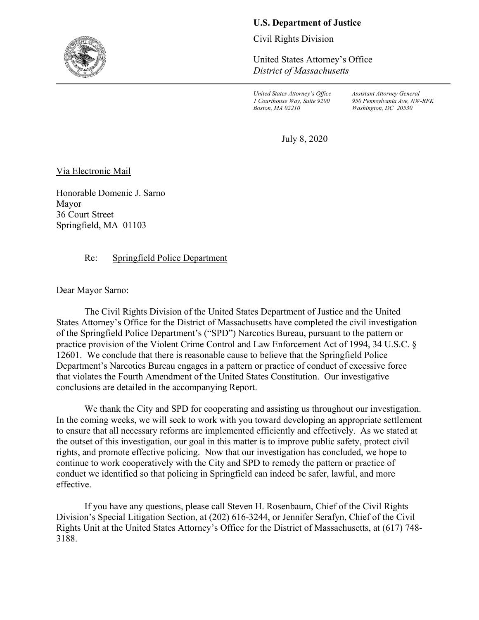## **U.S. Department of Justice**

Civil Rights Division

United States Attorney's Office *District of Massachusetts*

*United States Attorney's Office Assistant Attorney General Boston, MA 02210 Washington, DC 20530*

*1 Courthouse Way, Suite 9200 950 Pennsylvania Ave, NW-RFK*

July 8, 2020

Via Electronic Mail

Honorable Domenic J. Sarno Mayor 36 Court Street Springfield, MA 01103

## Re: Springfield Police Department

Dear Mayor Sarno:

The Civil Rights Division of the United States Department of Justice and the United States Attorney's Office for the District of Massachusetts have completed the civil investigation of the Springfield Police Department's ("SPD") Narcotics Bureau, pursuant to the pattern or practice provision of the Violent Crime Control and Law Enforcement Act of 1994, 34 U.S.C. § 12601. We conclude that there is reasonable cause to believe that the Springfield Police Department's Narcotics Bureau engages in a pattern or practice of conduct of excessive force that violates the Fourth Amendment of the United States Constitution. Our investigative conclusions are detailed in the accompanying Report.

We thank the City and SPD for cooperating and assisting us throughout our investigation. In the coming weeks, we will seek to work with you toward developing an appropriate settlement to ensure that all necessary reforms are implemented efficiently and effectively. As we stated at the outset of this investigation, our goal in this matter is to improve public safety, protect civil rights, and promote effective policing. Now that our investigation has concluded, we hope to continue to work cooperatively with the City and SPD to remedy the pattern or practice of conduct we identified so that policing in Springfield can indeed be safer, lawful, and more effective.

If you have any questions, please call Steven H. Rosenbaum, Chief of the Civil Rights Division's Special Litigation Section, at (202) 616-3244, or Jennifer Serafyn, Chief of the Civil Rights Unit at the United States Attorney's Office for the District of Massachusetts, at (617) 748- 3188.